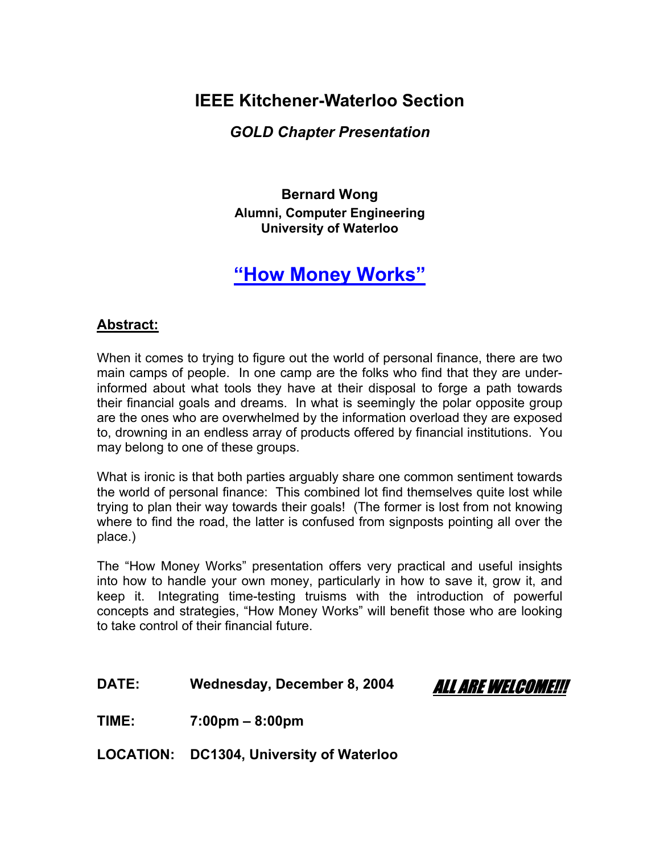## **IEEE Kitchener-Waterloo Section**

### *GOLD Chapter Presentation*

**Bernard Wong Alumni, Computer Engineering University of Waterloo** 

# **"How Money Works"**

### **Abstract:**

When it comes to trying to figure out the world of personal finance, there are two main camps of people. In one camp are the folks who find that they are underinformed about what tools they have at their disposal to forge a path towards their financial goals and dreams. In what is seemingly the polar opposite group are the ones who are overwhelmed by the information overload they are exposed to, drowning in an endless array of products offered by financial institutions. You may belong to one of these groups.

What is ironic is that both parties arguably share one common sentiment towards the world of personal finance: This combined lot find themselves quite lost while trying to plan their way towards their goals! (The former is lost from not knowing where to find the road, the latter is confused from signposts pointing all over the place.)

The "How Money Works" presentation offers very practical and useful insights into how to handle your own money, particularly in how to save it, grow it, and keep it. Integrating time-testing truisms with the introduction of powerful concepts and strategies, "How Money Works" will benefit those who are looking to take control of their financial future.

DATE: Wednesday, December 8, 2004 ALL ARE WELCOME!!!

**TIME: 7:00pm – 8:00pm** 

**LOCATION: DC1304, University of Waterloo**